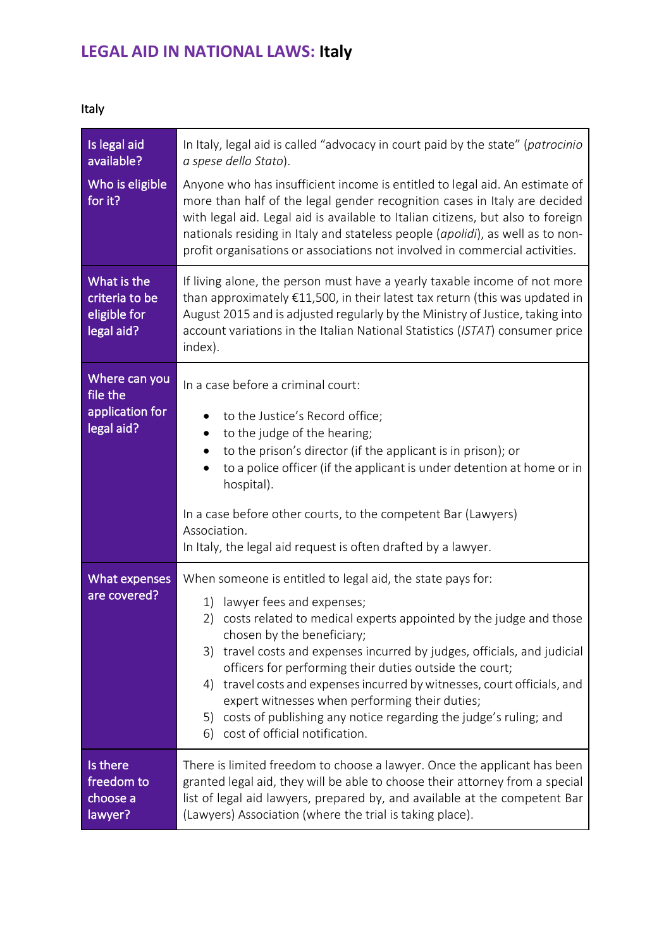## **LEGAL AID IN NATIONAL LAWS: Italy**

| Is legal aid<br>available?                                  | In Italy, legal aid is called "advocacy in court paid by the state" (patrocinio<br>a spese dello Stato).                                                                                                                                                                                                                                                                                                                                                                                                                                                                                            |
|-------------------------------------------------------------|-----------------------------------------------------------------------------------------------------------------------------------------------------------------------------------------------------------------------------------------------------------------------------------------------------------------------------------------------------------------------------------------------------------------------------------------------------------------------------------------------------------------------------------------------------------------------------------------------------|
| Who is eligible<br>for it?                                  | Anyone who has insufficient income is entitled to legal aid. An estimate of<br>more than half of the legal gender recognition cases in Italy are decided<br>with legal aid. Legal aid is available to Italian citizens, but also to foreign<br>nationals residing in Italy and stateless people (apolidi), as well as to non-<br>profit organisations or associations not involved in commercial activities.                                                                                                                                                                                        |
| What is the<br>criteria to be<br>eligible for<br>legal aid? | If living alone, the person must have a yearly taxable income of not more<br>than approximately €11,500, in their latest tax return (this was updated in<br>August 2015 and is adjusted regularly by the Ministry of Justice, taking into<br>account variations in the Italian National Statistics (ISTAT) consumer price<br>index).                                                                                                                                                                                                                                                                |
| Where can you<br>file the<br>application for<br>legal aid?  | In a case before a criminal court:<br>to the Justice's Record office;<br>to the judge of the hearing;<br>٠<br>to the prison's director (if the applicant is in prison); or<br>to a police officer (if the applicant is under detention at home or in<br>٠<br>hospital).<br>In a case before other courts, to the competent Bar (Lawyers)<br>Association.<br>In Italy, the legal aid request is often drafted by a lawyer.                                                                                                                                                                           |
| What expenses<br>are covered?                               | When someone is entitled to legal aid, the state pays for:<br>1)<br>lawyer fees and expenses;<br>costs related to medical experts appointed by the judge and those<br>2)<br>chosen by the beneficiary;<br>travel costs and expenses incurred by judges, officials, and judicial<br>3)<br>officers for performing their duties outside the court;<br>travel costs and expenses incurred by witnesses, court officials, and<br>4)<br>expert witnesses when performing their duties;<br>costs of publishing any notice regarding the judge's ruling; and<br>5)<br>cost of official notification.<br>6) |
| Is there<br>freedom to<br>choose a<br>lawyer?               | There is limited freedom to choose a lawyer. Once the applicant has been<br>granted legal aid, they will be able to choose their attorney from a special<br>list of legal aid lawyers, prepared by, and available at the competent Bar<br>(Lawyers) Association (where the trial is taking place).                                                                                                                                                                                                                                                                                                  |

Italy